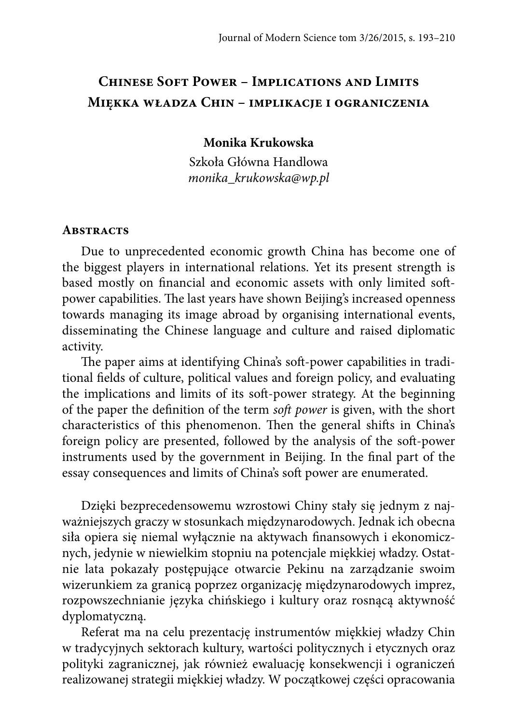# **Chinese Soft Power – Implications and Limits Miękka władza Chin – implikacje i ograniczenia**

### **Monika Krukowska**

Szkoła Główna Handlowa *monika\_krukowska@wp.pl*

#### **Abstracts**

Due to unprecedented economic growth China has become one of the biggest players in international relations. Yet its present strength is based mostly on financial and economic assets with only limited softpower capabilities. The last years have shown Beijing's increased openness towards managing its image abroad by organising international events, disseminating the Chinese language and culture and raised diplomatic activity.

The paper aims at identifying China's soft-power capabilities in traditional fields of culture, political values and foreign policy, and evaluating the implications and limits of its soft -power strategy. At the beginning of the paper the definition of the term *soft power* is given, with the short characteristics of this phenomenon. Then the general shifts in China's foreign policy are presented, followed by the analysis of the soft -power instruments used by the government in Beijing. In the final part of the essay consequences and limits of China's soft power are enumerated.

Dzięki bezprecedensowemu wzrostowi Chiny stały się jednym z najważniejszych graczy w stosunkach międzynarodowych. Jednak ich obecna siła opiera się niemal wyłącznie na aktywach finansowych i ekonomicznych, jedynie w niewielkim stopniu na potencjale miękkiej władzy. Ostatnie lata pokazały postępujące otwarcie Pekinu na zarządzanie swoim wizerunkiem za granicą poprzez organizację międzynarodowych imprez, rozpowszechnianie języka chińskiego i kultury oraz rosnącą aktywność dyplomatyczną.

Referat ma na celu prezentację instrumentów miękkiej władzy Chin w tradycyjnych sektorach kultury, wartości politycznych i etycznych oraz polityki zagranicznej, jak również ewaluację konsekwencji i ograniczeń realizowanej strategii miękkiej władzy. W początkowej części opracowania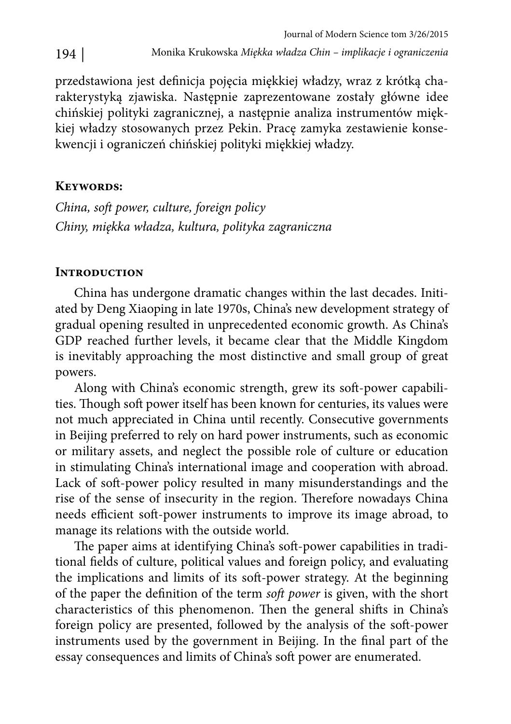przedstawiona jest definicja pojęcia miękkiej władzy, wraz z krótką charakterystyką zjawiska. Następnie zaprezentowane zostały główne idee chińskiej polityki zagranicznej, a następnie analiza instrumentów miękkiej władzy stosowanych przez Pekin. Pracę zamyka zestawienie konsekwencji i ograniczeń chińskiej polityki miękkiej władzy.

# **Keywords:**

*China, soft power, culture, foreign policy Chiny, miękka władza, kultura, polityka zagraniczna*

# **Introduction**

China has undergone dramatic changes within the last decades. Initiated by Deng Xiaoping in late 1970s, China's new development strategy of gradual opening resulted in unprecedented economic growth. As China's GDP reached further levels, it became clear that the Middle Kingdom is inevitably approaching the most distinctive and small group of great powers.

Along with China's economic strength, grew its soft -power capabilities. Though soft power itself has been known for centuries, its values were not much appreciated in China until recently. Consecutive governments in Beijing preferred to rely on hard power instruments, such as economic or military assets, and neglect the possible role of culture or education in stimulating China's international image and cooperation with abroad. Lack of soft -power policy resulted in many misunderstandings and the rise of the sense of insecurity in the region. Therefore nowadays China needs efficient soft-power instruments to improve its image abroad, to manage its relations with the outside world.

The paper aims at identifying China's soft-power capabilities in traditional fields of culture, political values and foreign policy, and evaluating the implications and limits of its soft -power strategy. At the beginning of the paper the definition of the term *soft power* is given, with the short characteristics of this phenomenon. Then the general shifts in China's foreign policy are presented, followed by the analysis of the soft -power instruments used by the government in Beijing. In the final part of the essay consequences and limits of China's soft power are enumerated.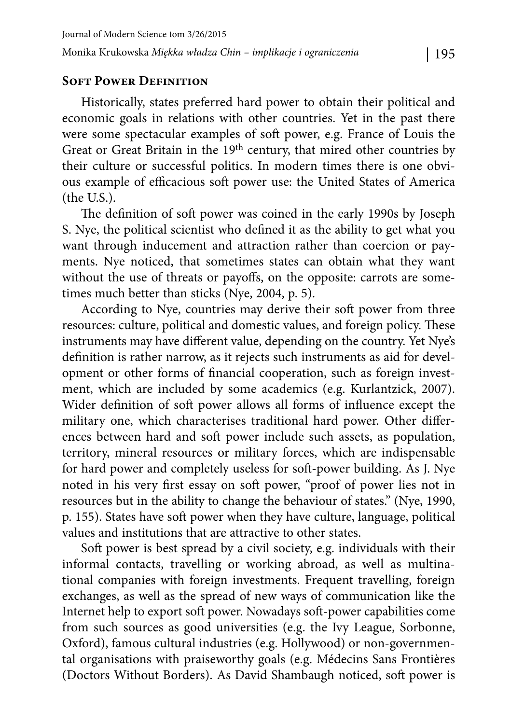### **SOFT POWER DEFINITION**

Historically, states preferred hard power to obtain their political and economic goals in relations with other countries. Yet in the past there were some spectacular examples of soft power, e.g. France of Louis the Great or Great Britain in the 19th century, that mired other countries by their culture or successful politics. In modern times there is one obvious example of efficacious soft power use: the United States of America (the U.S.).

The definition of soft power was coined in the early 1990s by Joseph S. Nye, the political scientist who defined it as the ability to get what you want through inducement and attraction rather than coercion or payments. Nye noticed, that sometimes states can obtain what they want without the use of threats or payoffs, on the opposite: carrots are sometimes much better than sticks (Nye, 2004, p. 5).

According to Nye, countries may derive their soft power from three resources: culture, political and domestic values, and foreign policy. These instruments may have different value, depending on the country. Yet Nye's definition is rather narrow, as it rejects such instruments as aid for development or other forms of financial cooperation, such as foreign investment, which are included by some academics (e.g. Kurlantzick, 2007). Wider definition of soft power allows all forms of influence except the military one, which characterises traditional hard power. Other differences between hard and soft power include such assets, as population, territory, mineral resources or military forces, which are indispensable for hard power and completely useless for soft -power building. As J. Nye noted in his very first essay on soft power, "proof of power lies not in resources but in the ability to change the behaviour of states." (Nye, 1990, p. 155). States have soft power when they have culture, language, political values and institutions that are attractive to other states.

Soft power is best spread by a civil society, e.g. individuals with their informal contacts, travelling or working abroad, as well as multinational companies with foreign investments. Frequent travelling, foreign exchanges, as well as the spread of new ways of communication like the Internet help to export soft power. Nowadays soft -power capabilities come from such sources as good universities (e.g. the Ivy League, Sorbonne, Oxford), famous cultural industries (e.g. Hollywood) or non-governmental organisations with praiseworthy goals (e.g. Médecins Sans Frontières (Doctors Without Borders). As David Shambaugh noticed, soft power is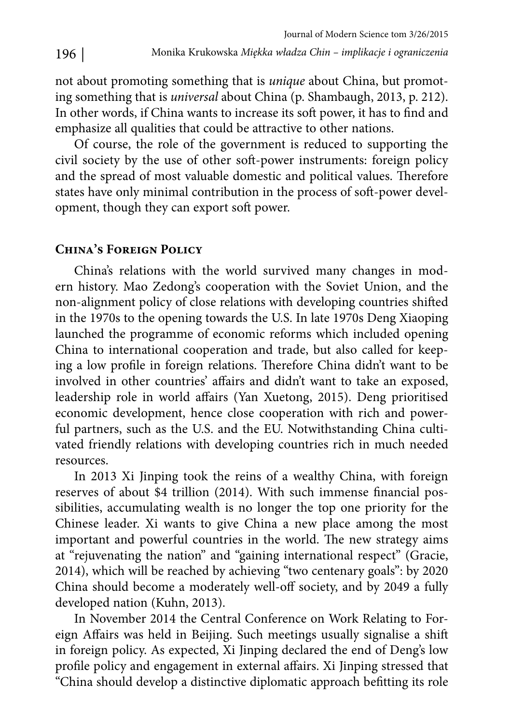not about promoting something that is *unique* about China, but promoting something that is *universal* about China (p. Shambaugh, 2013, p. 212). In other words, if China wants to increase its soft power, it has to find and emphasize all qualities that could be attractive to other nations.

Of course, the role of the government is reduced to supporting the civil society by the use of other soft -power instruments: foreign policy and the spread of most valuable domestic and political values. Therefore states have only minimal contribution in the process of soft -power development, though they can export soft power.

### **China's Foreign Policy**

China's relations with the world survived many changes in modern history. Mao Zedong's cooperation with the Soviet Union, and the non-alignment policy of close relations with developing countries shifted in the 1970s to the opening towards the U.S. In late 1970s Deng Xiaoping launched the programme of economic reforms which included opening China to international cooperation and trade, but also called for keeping a low profile in foreign relations. Therefore China didn't want to be involved in other countries' affairs and didn't want to take an exposed, leadership role in world affairs (Yan Xuetong, 2015). Deng prioritised economic development, hence close cooperation with rich and powerful partners, such as the U.S. and the EU. Notwithstanding China cultivated friendly relations with developing countries rich in much needed resources.

In 2013 Xi Jinping took the reins of a wealthy China, with foreign reserves of about \$4 trillion (2014). With such immense financial possibilities, accumulating wealth is no longer the top one priority for the Chinese leader. Xi wants to give China a new place among the most important and powerful countries in the world. The new strategy aims at "rejuvenating the nation" and "gaining international respect" (Gracie, 2014), which will be reached by achieving "two centenary goals": by 2020 China should become a moderately well-off society, and by 2049 a fully developed nation (Kuhn, 2013).

In November 2014 the Central Conference on Work Relating to Foreign Affairs was held in Beijing. Such meetings usually signalise a shift in foreign policy. As expected, Xi Jinping declared the end of Deng's low profile policy and engagement in external affairs. Xi Jinping stressed that "China should develop a distinctive diplomatic approach befitting its role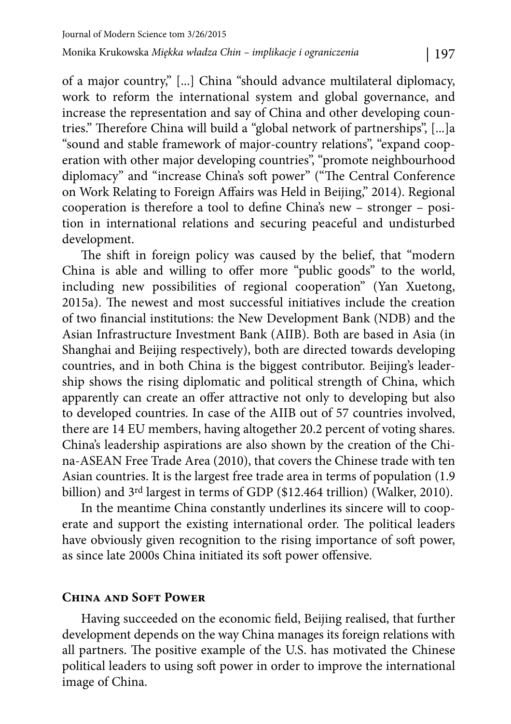of a major country," [...] China "should advance multilateral diplomacy, work to reform the international system and global governance, and increase the representation and say of China and other developing countries." Therefore China will build a "global network of partnerships", [...]a "sound and stable framework of major-country relations", "expand cooperation with other major developing countries", "promote neighbourhood diplomacy" and "increase China's soft power" ("The Central Conference on Work Relating to Foreign Affairs was Held in Beijing," 2014). Regional cooperation is therefore a tool to define China's new - stronger - position in international relations and securing peaceful and undisturbed development.

The shift in foreign policy was caused by the belief, that "modern China is able and willing to offer more "public goods" to the world, including new possibilities of regional cooperation" (Yan Xuetong, 2015a). The newest and most successful initiatives include the creation of two financial institutions: the New Development Bank (NDB) and the Asian Infrastructure Investment Bank (AIIB). Both are based in Asia (in Shanghai and Beijing respectively), both are directed towards developing countries, and in both China is the biggest contributor. Beijing's leadership shows the rising diplomatic and political strength of China, which apparently can create an offer attractive not only to developing but also to developed countries. In case of the AIIB out of 57 countries involved, there are 14 EU members, having altogether 20.2 percent of voting shares. China's leadership aspirations are also shown by the creation of the China-ASEAN Free Trade Area (2010), that covers the Chinese trade with ten Asian countries. It is the largest free trade area in terms of population (1.9 billion) and 3rd largest in terms of GDP (\$12.464 trillion) (Walker, 2010).

In the meantime China constantly underlines its sincere will to cooperate and support the existing international order. The political leaders have obviously given recognition to the rising importance of soft power, as since late 2000s China initiated its soft power offensive.

### **China and Soft Power**

Having succeeded on the economic field, Beijing realised, that further development depends on the way China manages its foreign relations with all partners. The positive example of the U.S. has motivated the Chinese political leaders to using soft power in order to improve the international image of China.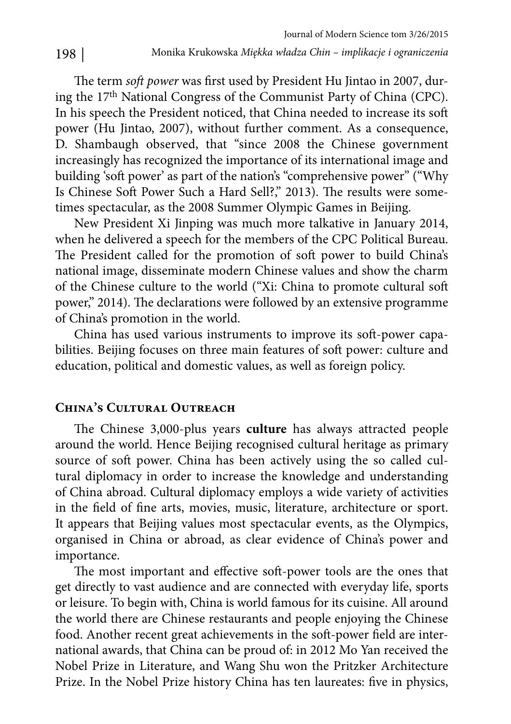The term *soft power* was first used by President Hu Jintao in 2007, during the 17th National Congress of the Communist Party of China (CPC). In his speech the President noticed, that China needed to increase its soft power (Hu Jintao, 2007), without further comment. As a consequence, D. Shambaugh observed, that "since 2008 the Chinese government increasingly has recognized the importance of its international image and building 'soft power' as part of the nation's "comprehensive power" ("Why Is Chinese Soft Power Such a Hard Sell?," 2013). The results were sometimes spectacular, as the 2008 Summer Olympic Games in Beijing.

New President Xi Jinping was much more talkative in January 2014, when he delivered a speech for the members of the CPC Political Bureau. The President called for the promotion of soft power to build China's national image, disseminate modern Chinese values and show the charm of the Chinese culture to the world ("Xi: China to promote cultural soft power," 2014). The declarations were followed by an extensive programme of China's promotion in the world.

China has used various instruments to improve its soft -power capabilities. Beijing focuses on three main features of soft power: culture and education, political and domestic values, as well as foreign policy.

#### **China's Cultural Outreach**

The Chinese 3,000-plus years culture has always attracted people around the world. Hence Beijing recognised cultural heritage as primary source of soft power. China has been actively using the so called cultural diplomacy in order to increase the knowledge and understanding of China abroad. Cultural diplomacy employs a wide variety of activities in the field of fine arts, movies, music, literature, architecture or sport. It appears that Beijing values most spectacular events, as the Olympics, organised in China or abroad, as clear evidence of China's power and importance.

The most important and effective soft-power tools are the ones that get directly to vast audience and are connected with everyday life, sports or leisure. To begin with, China is world famous for its cuisine. All around the world there are Chinese restaurants and people enjoying the Chinese food. Another recent great achievements in the soft-power field are international awards, that China can be proud of: in 2012 Mo Yan received the Nobel Prize in Literature, and Wang Shu won the Pritzker Architecture Prize. In the Nobel Prize history China has ten laureates: five in physics,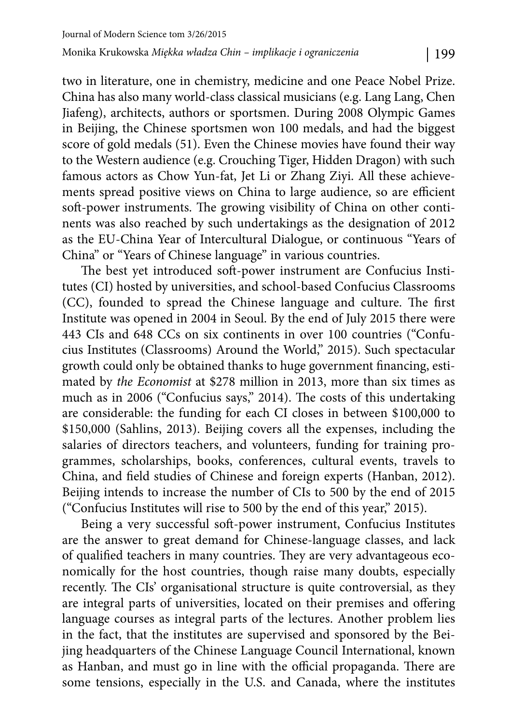two in literature, one in chemistry, medicine and one Peace Nobel Prize. China has also many world-class classical musicians (e.g. Lang Lang, Chen Jiafeng), architects, authors or sportsmen. During 2008 Olympic Games in Beijing, the Chinese sportsmen won 100 medals, and had the biggest score of gold medals (51). Even the Chinese movies have found their way to the Western audience (e.g. Crouching Tiger, Hidden Dragon) with such famous actors as Chow Yun-fat, Jet Li or Zhang Ziyi. All these achievements spread positive views on China to large audience, so are efficient soft-power instruments. The growing visibility of China on other continents was also reached by such undertakings as the designation of 2012 as the EU-China Year of Intercultural Dialogue, or continuous "Years of China" or "Years of Chinese language" in various countries.

The best yet introduced soft-power instrument are Confucius Institutes (CI) hosted by universities, and school-based Confucius Classrooms (CC), founded to spread the Chinese language and culture. The first Institute was opened in 2004 in Seoul. By the end of July 2015 there were 443 CIs and 648 CCs on six continents in over 100 countries ("Confucius Institutes (Classrooms) Around the World," 2015). Such spectacular growth could only be obtained thanks to huge government financing, estimated by *the Economist* at \$278 million in 2013, more than six times as much as in 2006 ("Confucius says," 2014). The costs of this undertaking are considerable: the funding for each CI closes in between \$100,000 to \$150,000 (Sahlins, 2013). Beijing covers all the expenses, including the salaries of directors teachers, and volunteers, funding for training programmes, scholarships, books, conferences, cultural events, travels to China, and field studies of Chinese and foreign experts (Hanban, 2012). Beijing intends to increase the number of CIs to 500 by the end of 2015 ("Confucius Institutes will rise to 500 by the end of this year," 2015).

Being a very successful soft -power instrument, Confucius Institutes are the answer to great demand for Chinese-language classes, and lack of qualified teachers in many countries. They are very advantageous economically for the host countries, though raise many doubts, especially recently. The CIs' organisational structure is quite controversial, as they are integral parts of universities, located on their premises and offering language courses as integral parts of the lectures. Another problem lies in the fact, that the institutes are supervised and sponsored by the Beijing headquarters of the Chinese Language Council International, known as Hanban, and must go in line with the official propaganda. There are some tensions, especially in the U.S. and Canada, where the institutes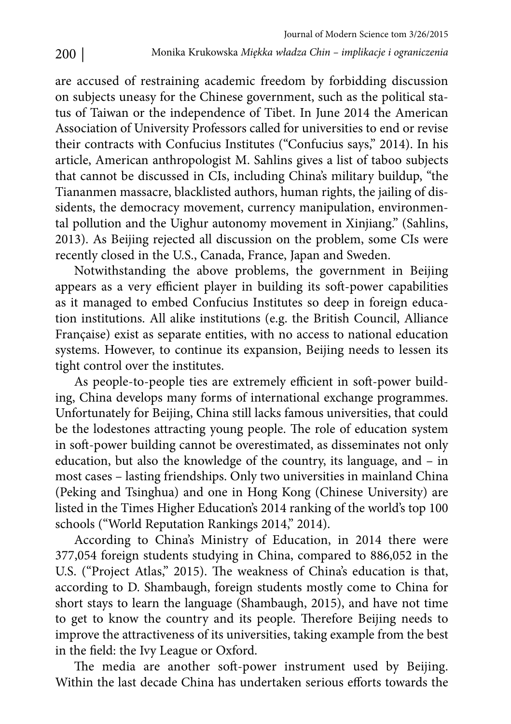are accused of restraining academic freedom by forbidding discussion on subjects uneasy for the Chinese government, such as the political status of Taiwan or the independence of Tibet. In June 2014 the American Association of University Professors called for universities to end or revise their contracts with Confucius Institutes ("Confucius says," 2014). In his article, American anthropologist M. Sahlins gives a list of taboo subjects that cannot be discussed in CIs, including China's military buildup, "the Tiananmen massacre, blacklisted authors, human rights, the jailing of dissidents, the democracy movement, currency manipulation, environmental pollution and the Uighur autonomy movement in Xinjiang." (Sahlins, 2013). As Beijing rejected all discussion on the problem, some CIs were recently closed in the U.S., Canada, France, Japan and Sweden.

Notwithstanding the above problems, the government in Beijing appears as a very efficient player in building its soft-power capabilities as it managed to embed Confucius Institutes so deep in foreign education institutions. All alike institutions (e.g. the British Council, Alliance Française) exist as separate entities, with no access to national education systems. However, to continue its expansion, Beijing needs to lessen its tight control over the institutes.

As people-to-people ties are extremely efficient in soft-power building, China develops many forms of international exchange programmes. Unfortunately for Beijing, China still lacks famous universities, that could be the lodestones attracting young people. The role of education system in soft -power building cannot be overestimated, as disseminates not only education, but also the knowledge of the country, its language, and – in most cases – lasting friendships. Only two universities in mainland China (Peking and Tsinghua) and one in Hong Kong (Chinese University) are listed in the Times Higher Education's 2014 ranking of the world's top 100 schools ("World Reputation Rankings 2014," 2014).

According to China's Ministry of Education, in 2014 there were 377,054 foreign students studying in China, compared to 886,052 in the U.S. ("Project Atlas," 2015). The weakness of China's education is that, according to D. Shambaugh, foreign students mostly come to China for short stays to learn the language (Shambaugh, 2015), and have not time to get to know the country and its people. Therefore Beijing needs to improve the attractiveness of its universities, taking example from the best in the field: the Ivy League or Oxford.

The media are another soft-power instrument used by Beijing. Within the last decade China has undertaken serious efforts towards the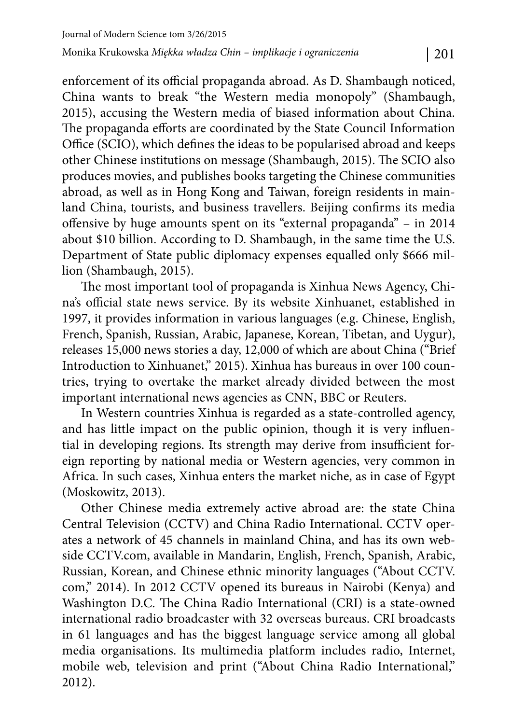enforcement of its official propaganda abroad. As D. Shambaugh noticed, China wants to break "the Western media monopoly" (Shambaugh, 2015), accusing the Western media of biased information about China. The propaganda efforts are coordinated by the State Council Information Office (SCIO), which defines the ideas to be popularised abroad and keeps other Chinese institutions on message (Shambaugh, 2015). The SCIO also produces movies, and publishes books targeting the Chinese communities abroad, as well as in Hong Kong and Taiwan, foreign residents in mainland China, tourists, and business travellers. Beijing confirms its media offensive by huge amounts spent on its "external propaganda" – in 2014 about \$10 billion. According to D. Shambaugh, in the same time the U.S. Department of State public diplomacy expenses equalled only \$666 million (Shambaugh, 2015).

The most important tool of propaganda is Xinhua News Agency, China's official state news service. By its website Xinhuanet, established in 1997, it provides information in various languages (e.g. Chinese, English, French, Spanish, Russian, Arabic, Japanese, Korean, Tibetan, and Uygur), releases 15,000 news stories a day, 12,000 of which are about China ("Brief Introduction to Xinhuanet," 2015). Xinhua has bureaus in over 100 countries, trying to overtake the market already divided between the most important international news agencies as CNN, BBC or Reuters.

In Western countries Xinhua is regarded as a state-controlled agency, and has little impact on the public opinion, though it is very influential in developing regions. Its strength may derive from insufficient foreign reporting by national media or Western agencies, very common in Africa. In such cases, Xinhua enters the market niche, as in case of Egypt (Moskowitz, 2013).

Other Chinese media extremely active abroad are: the state China Central Television (CCTV) and China Radio International. CCTV operates a network of 45 channels in mainland China, and has its own webside CCTV.com, available in Mandarin, English, French, Spanish, Arabic, Russian, Korean, and Chinese ethnic minority languages ("About CCTV. com," 2014). In 2012 CCTV opened its bureaus in Nairobi (Kenya) and Washington D.C. The China Radio International (CRI) is a state-owned international radio broadcaster with 32 overseas bureaus. CRI broadcasts in 61 languages and has the biggest language service among all global media organisations. Its multimedia platform includes radio, Internet, mobile web, television and print ("About China Radio International," 2012).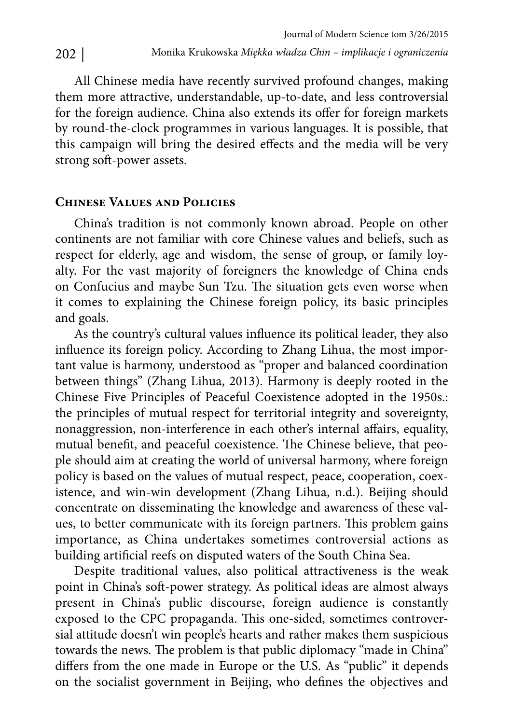All Chinese media have recently survived profound changes, making them more attractive, understandable, up-to-date, and less controversial for the foreign audience. China also extends its offer for foreign markets by round-the-clock programmes in various languages. It is possible, that this campaign will bring the desired effects and the media will be very strong soft-power assets.

#### **Chinese Values and Policies**

China's tradition is not commonly known abroad. People on other continents are not familiar with core Chinese values and beliefs, such as respect for elderly, age and wisdom, the sense of group, or family loyalty. For the vast majority of foreigners the knowledge of China ends on Confucius and maybe Sun Tzu. The situation gets even worse when it comes to explaining the Chinese foreign policy, its basic principles and goals.

As the country's cultural values influence its political leader, they also influence its foreign policy. According to Zhang Lihua, the most important value is harmony, understood as "proper and balanced coordination between things" (Zhang Lihua, 2013). Harmony is deeply rooted in the Chinese Five Principles of Peaceful Coexistence adopted in the 1950s.: the principles of mutual respect for territorial integrity and sovereignty, nonaggression, non-interference in each other's internal affairs, equality, mutual benefit, and peaceful coexistence. The Chinese believe, that people should aim at creating the world of universal harmony, where foreign policy is based on the values of mutual respect, peace, cooperation, coexistence, and win-win development (Zhang Lihua, n.d.). Beijing should concentrate on disseminating the knowledge and awareness of these values, to better communicate with its foreign partners. This problem gains importance, as China undertakes sometimes controversial actions as building artificial reefs on disputed waters of the South China Sea.

Despite traditional values, also political attractiveness is the weak point in China's soft -power strategy. As political ideas are almost always present in China's public discourse, foreign audience is constantly exposed to the CPC propaganda. This one-sided, sometimes controversial attitude doesn't win people's hearts and rather makes them suspicious towards the news. The problem is that public diplomacy "made in China" differs from the one made in Europe or the U.S. As "public" it depends on the socialist government in Beijing, who defines the objectives and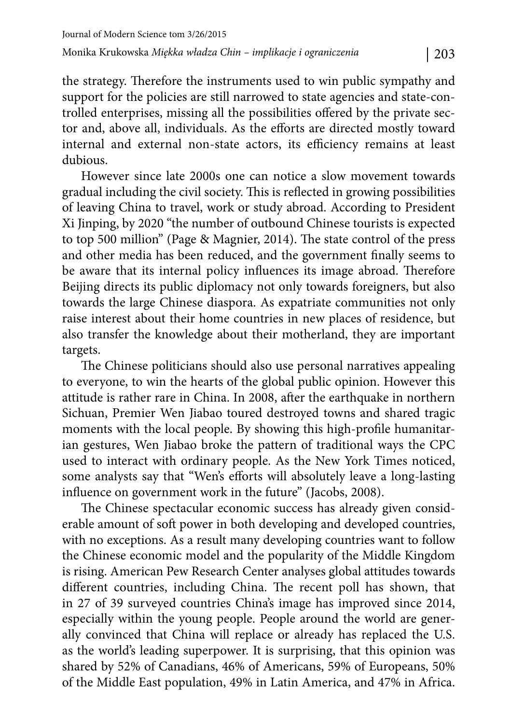the strategy. Therefore the instruments used to win public sympathy and support for the policies are still narrowed to state agencies and state-controlled enterprises, missing all the possibilities offered by the private sector and, above all, individuals. As the efforts are directed mostly toward internal and external non-state actors, its efficiency remains at least dubious.

However since late 2000s one can notice a slow movement towards gradual including the civil society. This is reflected in growing possibilities of leaving China to travel, work or study abroad. According to President Xi Jinping, by 2020 "the number of outbound Chinese tourists is expected to top 500 million" (Page & Magnier, 2014). The state control of the press and other media has been reduced, and the government finally seems to be aware that its internal policy influences its image abroad. Therefore Beijing directs its public diplomacy not only towards foreigners, but also towards the large Chinese diaspora. As expatriate communities not only raise interest about their home countries in new places of residence, but also transfer the knowledge about their motherland, they are important targets.

The Chinese politicians should also use personal narratives appealing to everyone, to win the hearts of the global public opinion. However this attitude is rather rare in China. In 2008, after the earthquake in northern Sichuan, Premier Wen Jiabao toured destroyed towns and shared tragic moments with the local people. By showing this high-profile humanitarian gestures, Wen Jiabao broke the pattern of traditional ways the CPC used to interact with ordinary people. As the New York Times noticed, some analysts say that "Wen's efforts will absolutely leave a long-lasting influence on government work in the future" (Jacobs, 2008).

The Chinese spectacular economic success has already given considerable amount of soft power in both developing and developed countries, with no exceptions. As a result many developing countries want to follow the Chinese economic model and the popularity of the Middle Kingdom is rising. American Pew Research Center analyses global attitudes towards different countries, including China. The recent poll has shown, that in 27 of 39 surveyed countries China's image has improved since 2014, especially within the young people. People around the world are generally convinced that China will replace or already has replaced the U.S. as the world's leading superpower. It is surprising, that this opinion was shared by 52% of Canadians, 46% of Americans, 59% of Europeans, 50% of the Middle East population, 49% in Latin America, and 47% in Africa.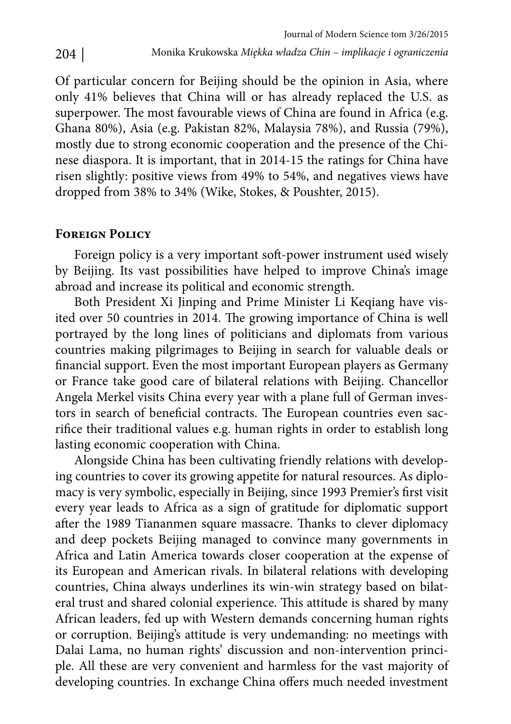Of particular concern for Beijing should be the opinion in Asia, where only 41% believes that China will or has already replaced the U.S. as superpower. The most favourable views of China are found in Africa (e.g. Ghana 80%), Asia (e.g. Pakistan 82%, Malaysia 78%), and Russia (79%), mostly due to strong economic cooperation and the presence of the Chinese diaspora. It is important, that in 2014-15 the ratings for China have risen slightly: positive views from 49% to 54%, and negatives views have dropped from 38% to 34% (Wike, Stokes, & Poushter, 2015).

### **Foreign Policy**

Foreign policy is a very important soft -power instrument used wisely by Beijing. Its vast possibilities have helped to improve China's image abroad and increase its political and economic strength.

Both President Xi Jinping and Prime Minister Li Keqiang have visited over 50 countries in 2014. The growing importance of China is well portrayed by the long lines of politicians and diplomats from various countries making pilgrimages to Beijing in search for valuable deals or financial support. Even the most important European players as Germany or France take good care of bilateral relations with Beijing. Chancellor Angela Merkel visits China every year with a plane full of German investors in search of beneficial contracts. The European countries even sacrifice their traditional values e.g. human rights in order to establish long lasting economic cooperation with China.

Alongside China has been cultivating friendly relations with developing countries to cover its growing appetite for natural resources. As diplomacy is very symbolic, especially in Beijing, since 1993 Premier's first visit every year leads to Africa as a sign of gratitude for diplomatic support after the 1989 Tiananmen square massacre. Thanks to clever diplomacy and deep pockets Beijing managed to convince many governments in Africa and Latin America towards closer cooperation at the expense of its European and American rivals. In bilateral relations with developing countries, China always underlines its win-win strategy based on bilateral trust and shared colonial experience. This attitude is shared by many African leaders, fed up with Western demands concerning human rights or corruption. Beijing's attitude is very undemanding: no meetings with Dalai Lama, no human rights' discussion and non-intervention principle. All these are very convenient and harmless for the vast majority of developing countries. In exchange China offers much needed investment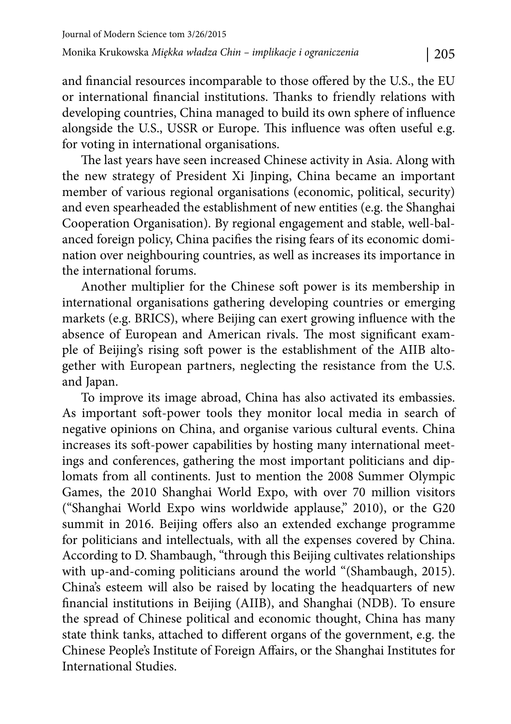and financial resources incomparable to those offered by the U.S., the EU or international financial institutions. Thanks to friendly relations with developing countries, China managed to build its own sphere of influence alongside the U.S., USSR or Europe. This influence was often useful e.g. for voting in international organisations.

The last years have seen increased Chinese activity in Asia. Along with the new strategy of President Xi Jinping, China became an important member of various regional organisations (economic, political, security) and even spearheaded the establishment of new entities (e.g. the Shanghai Cooperation Organisation). By regional engagement and stable, well-balanced foreign policy, China pacifies the rising fears of its economic domination over neighbouring countries, as well as increases its importance in the international forums.

Another multiplier for the Chinese soft power is its membership in international organisations gathering developing countries or emerging markets (e.g. BRICS), where Beijing can exert growing influence with the absence of European and American rivals. The most significant example of Beijing's rising soft power is the establishment of the AIIB altogether with European partners, neglecting the resistance from the U.S. and Japan.

To improve its image abroad, China has also activated its embassies. As important soft -power tools they monitor local media in search of negative opinions on China, and organise various cultural events. China increases its soft -power capabilities by hosting many international meetings and conferences, gathering the most important politicians and diplomats from all continents. Just to mention the 2008 Summer Olympic Games, the 2010 Shanghai World Expo, with over 70 million visitors ("Shanghai World Expo wins worldwide applause," 2010), or the G20 summit in 2016. Beijing offers also an extended exchange programme for politicians and intellectuals, with all the expenses covered by China. According to D. Shambaugh, "through this Beijing cultivates relationships with up-and-coming politicians around the world "(Shambaugh, 2015). China's esteem will also be raised by locating the headquarters of new financial institutions in Beijing (AIIB), and Shanghai (NDB). To ensure the spread of Chinese political and economic thought, China has many state think tanks, attached to different organs of the government, e.g. the Chinese People's Institute of Foreign Affairs, or the Shanghai Institutes for International Studies.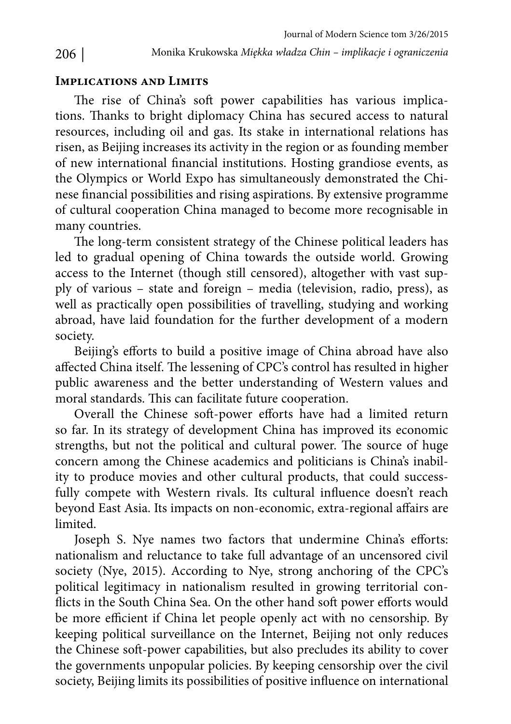### **Implications and Limits**

The rise of China's soft power capabilities has various implications. Thanks to bright diplomacy China has secured access to natural resources, including oil and gas. Its stake in international relations has risen, as Beijing increases its activity in the region or as founding member of new international financial institutions. Hosting grandiose events, as the Olympics or World Expo has simultaneously demonstrated the Chinese financial possibilities and rising aspirations. By extensive programme of cultural cooperation China managed to become more recognisable in many countries.

The long-term consistent strategy of the Chinese political leaders has led to gradual opening of China towards the outside world. Growing access to the Internet (though still censored), altogether with vast supply of various – state and foreign – media (television, radio, press), as well as practically open possibilities of travelling, studying and working abroad, have laid foundation for the further development of a modern society.

Beijing's efforts to build a positive image of China abroad have also affected China itself. The lessening of CPC's control has resulted in higher public awareness and the better understanding of Western values and moral standards. This can facilitate future cooperation.

Overall the Chinese soft-power efforts have had a limited return so far. In its strategy of development China has improved its economic strengths, but not the political and cultural power. The source of huge concern among the Chinese academics and politicians is China's inability to produce movies and other cultural products, that could successfully compete with Western rivals. Its cultural influence doesn't reach beyond East Asia. Its impacts on non-economic, extra-regional affairs are limited.

Joseph S. Nye names two factors that undermine China's efforts: nationalism and reluctance to take full advantage of an uncensored civil society (Nye, 2015). According to Nye, strong anchoring of the CPC's political legitimacy in nationalism resulted in growing territorial conflicts in the South China Sea. On the other hand soft power efforts would be more efficient if China let people openly act with no censorship. By keeping political surveillance on the Internet, Beijing not only reduces the Chinese soft -power capabilities, but also precludes its ability to cover the governments unpopular policies. By keeping censorship over the civil society, Beijing limits its possibilities of positive influence on international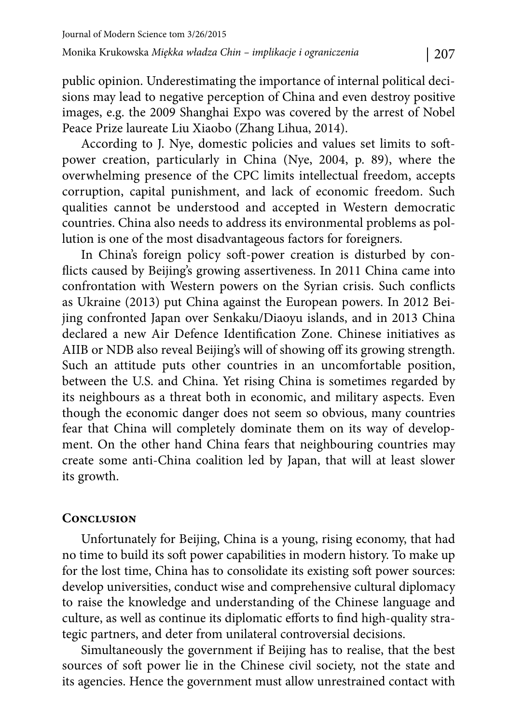public opinion. Underestimating the importance of internal political decisions may lead to negative perception of China and even destroy positive images, e.g. the 2009 Shanghai Expo was covered by the arrest of Nobel Peace Prize laureate Liu Xiaobo (Zhang Lihua, 2014).

According to J. Nye, domestic policies and values set limits to soft power creation, particularly in China (Nye, 2004, p. 89), where the overwhelming presence of the CPC limits intellectual freedom, accepts corruption, capital punishment, and lack of economic freedom. Such qualities cannot be understood and accepted in Western democratic countries. China also needs to address its environmental problems as pollution is one of the most disadvantageous factors for foreigners.

In China's foreign policy soft-power creation is disturbed by conflicts caused by Beijing's growing assertiveness. In 2011 China came into confrontation with Western powers on the Syrian crisis. Such conflicts as Ukraine (2013) put China against the European powers. In 2012 Beijing confronted Japan over Senkaku/Diaoyu islands, and in 2013 China declared a new Air Defence Identification Zone. Chinese initiatives as AIIB or NDB also reveal Beijing's will of showing off its growing strength. Such an attitude puts other countries in an uncomfortable position, between the U.S. and China. Yet rising China is sometimes regarded by its neighbours as a threat both in economic, and military aspects. Even though the economic danger does not seem so obvious, many countries fear that China will completely dominate them on its way of development. On the other hand China fears that neighbouring countries may create some anti-China coalition led by Japan, that will at least slower its growth.

## **Conclusion**

Unfortunately for Beijing, China is a young, rising economy, that had no time to build its soft power capabilities in modern history. To make up for the lost time, China has to consolidate its existing soft power sources: develop universities, conduct wise and comprehensive cultural diplomacy to raise the knowledge and understanding of the Chinese language and culture, as well as continue its diplomatic efforts to find high-quality strategic partners, and deter from unilateral controversial decisions.

Simultaneously the government if Beijing has to realise, that the best sources of soft power lie in the Chinese civil society, not the state and its agencies. Hence the government must allow unrestrained contact with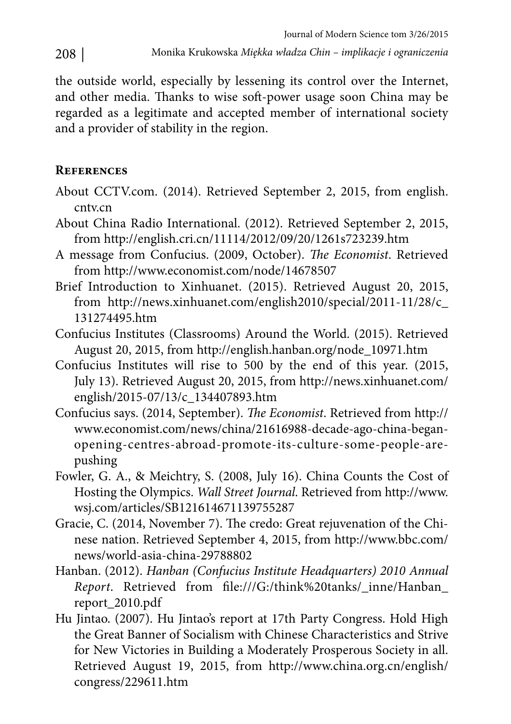the outside world, especially by lessening its control over the Internet, and other media. Thanks to wise soft-power usage soon China may be regarded as a legitimate and accepted member of international society and a provider of stability in the region.

## **References**

- About CCTV.com. (2014). Retrieved September 2, 2015, from english. cntv.cn
- About China Radio International. (2012). Retrieved September 2, 2015, from http://english.cri.cn/11114/2012/09/20/1261s723239.htm
- A message from Confucius. (2009, October). *The Economist*. Retrieved from http://www.economist.com/node/14678507
- Brief Introduction to Xinhuanet. (2015). Retrieved August 20, 2015, from http://news.xinhuanet.com/english2010/special/2011-11/28/c\_ 131274495.htm
- Confucius Institutes (Classrooms) Around the World. (2015). Retrieved August 20, 2015, from http://english.hanban.org/node\_10971.htm
- Confucius Institutes will rise to 500 by the end of this year. (2015, July 13). Retrieved August 20, 2015, from http://news.xinhuanet.com/ english/2015-07/13/c\_134407893.htm
- Confucius says. (2014, September). *The Economist*. Retrieved from http:// www.economist.com/news/china/21616988-decade-ago-china-beganopening-centres-abroad-promote-its-culture-some-people-arepushing
- Fowler, G. A., & Meichtry, S. (2008, July 16). China Counts the Cost of Hosting the Olympics. *Wall Street Journal*. Retrieved from http://www. wsj.com/articles/SB121614671139755287
- Gracie, C. (2014, November 7). The credo: Great rejuvenation of the Chinese nation. Retrieved September 4, 2015, from http://www.bbc.com/ news/world-asia-china-29788802
- Hanban. (2012). *Hanban (Confucius Institute Headquarters) 2010 Annual Report*. Retrieved from file:///G:/think%20tanks/\_inne/Hanban\_ report\_2010.pdf
- Hu Jintao. (2007). Hu Jintao's report at 17th Party Congress. Hold High the Great Banner of Socialism with Chinese Characteristics and Strive for New Victories in Building a Moderately Prosperous Society in all. Retrieved August 19, 2015, from http://www.china.org.cn/english/ congress/229611.htm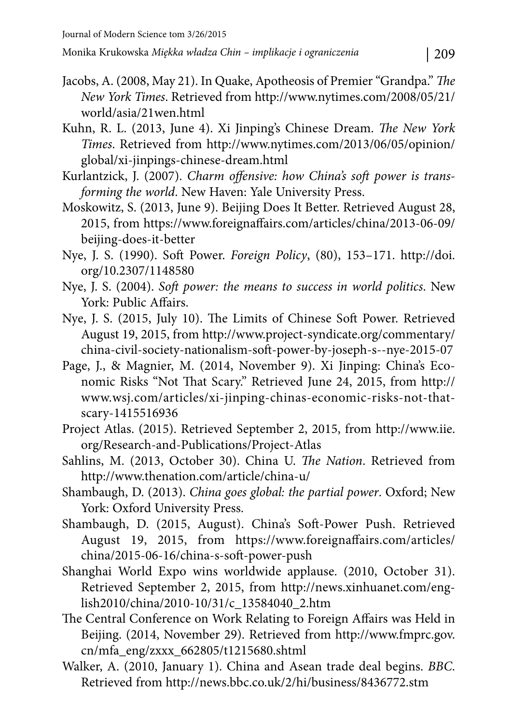- Jacobs, A. (2008, May 21). In Quake, Apotheosis of Premier "Grandpa." *The New York Times*. Retrieved from http://www.nytimes.com/2008/05/21/ world/asia/21wen.html
- Kuhn, R. L. (2013, June 4). Xi Jinping's Chinese Dream. *The New York Times*. Retrieved from http://www.nytimes.com/2013/06/05/opinion/ global/xi-jinpings-chinese-dream.html
- Kurlantzick, J. (2007). *Charm offensive: how China's soft power is transforming the world*. New Haven: Yale University Press.
- Moskowitz, S. (2013, June 9). Beijing Does It Better. Retrieved August 28, 2015, from https://www.foreignaffairs.com/articles/china/2013-06-09/ beijing-does-it-better
- Nye, J. S. (1990). Soft Power. *Foreign Policy*, (80), 153–171. http://doi. org/10.2307/1148580
- Nye, J. S. (2004). *Soft power: the means to success in world politics*. New York: Public Affairs.
- Nye, J. S. (2015, July 10). The Limits of Chinese Soft Power. Retrieved August 19, 2015, from http://www.project-syndicate.org/commentary/ china-civil-society-nationalism-soft -power-by-joseph-s--nye-2015-07
- Page, J., & Magnier, M. (2014, November 9). Xi Jinping: China's Economic Risks "Not That Scary." Retrieved June 24, 2015, from http:// www.wsj.com/articles/xi-jinping-chinas-economic-risks-not-thatscary-1415516936
- Project Atlas. (2015). Retrieved September 2, 2015, from http://www.iie. org/Research-and-Publications/Project-Atlas
- Sahlins, M. (2013, October 30). China U. *The Nation*. Retrieved from http://www.thenation.com/article/china-u/
- Shambaugh, D. (2013). *China goes global: the partial power*. Oxford; New York: Oxford University Press.
- Shambaugh, D. (2015, August). China's Soft -Power Push. Retrieved August 19, 2015, from https://www.foreignaffairs.com/articles/ china/2015-06-16/china-s-soft -power-push
- Shanghai World Expo wins worldwide applause. (2010, October 31). Retrieved September 2, 2015, from http://news.xinhuanet.com/english2010/china/2010-10/31/c\_13584040\_2.htm
- The Central Conference on Work Relating to Foreign Affairs was Held in Beijing. (2014, November 29). Retrieved from http://www.fmprc.gov. cn/mfa\_eng/zxxx\_662805/t1215680.shtml
- Walker, A. (2010, January 1). China and Asean trade deal begins. *BBC*. Retrieved from http://news.bbc.co.uk/2/hi/business/8436772.stm